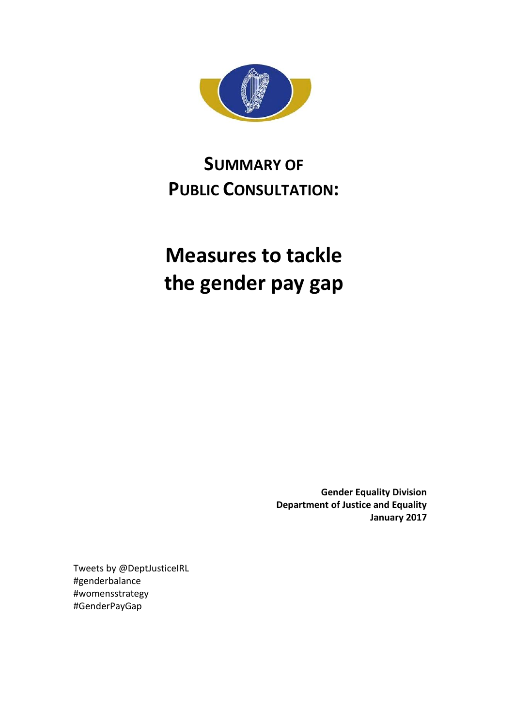

# **SUMMARY OF PUBLIC CONSULTATION:**

# **Measures to tackle the gender pay gap**

**Gender Equality Division Department of Justice and Equality January 2017**

Tweets by @DeptJusticeIRL #genderbalance #womensstrategy #GenderPayGap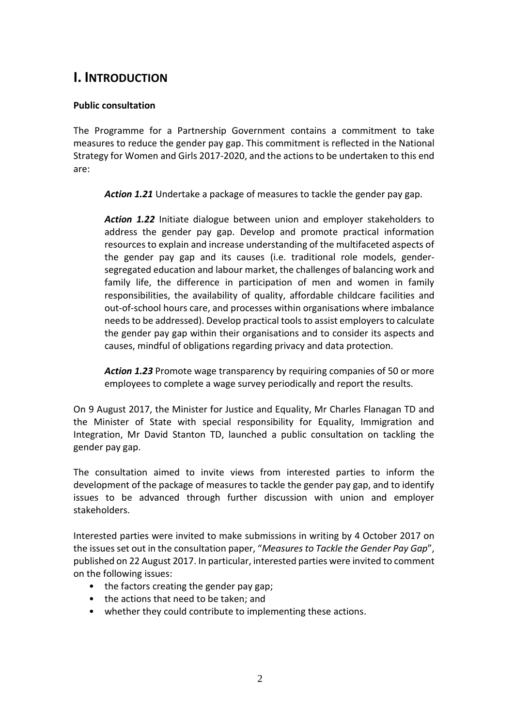## **I. INTRODUCTION**

#### **Public consultation**

The Programme for a Partnership Government contains a commitment to take measures to reduce the gender pay gap. This commitment is reflected in the National Strategy for Women and Girls 2017-2020, and the actions to be undertaken to this end are:

*Action 1.21* Undertake a package of measures to tackle the gender pay gap.

*Action 1.22* Initiate dialogue between union and employer stakeholders to address the gender pay gap. Develop and promote practical information resources to explain and increase understanding of the multifaceted aspects of the gender pay gap and its causes (i.e. traditional role models, gendersegregated education and labour market, the challenges of balancing work and family life, the difference in participation of men and women in family responsibilities, the availability of quality, affordable childcare facilities and out-of-school hours care, and processes within organisations where imbalance needs to be addressed). Develop practical tools to assist employers to calculate the gender pay gap within their organisations and to consider its aspects and causes, mindful of obligations regarding privacy and data protection.

*Action 1.23* Promote wage transparency by requiring companies of 50 or more employees to complete a wage survey periodically and report the results.

On 9 August 2017, the Minister for Justice and Equality, Mr Charles Flanagan TD and the Minister of State with special responsibility for Equality, Immigration and Integration, Mr David Stanton TD, launched a public consultation on tackling the gender pay gap.

The consultation aimed to invite views from interested parties to inform the development of the package of measures to tackle the gender pay gap, and to identify issues to be advanced through further discussion with union and employer stakeholders.

Interested parties were invited to make submissions in writing by 4 October 2017 on the issues set out in the consultation paper, "*Measures to Tackle the Gender Pay Gap*", published on 22 August 2017. In particular, interested parties were invited to comment on the following issues:

- the factors creating the gender pay gap;
- the actions that need to be taken; and
- whether they could contribute to implementing these actions.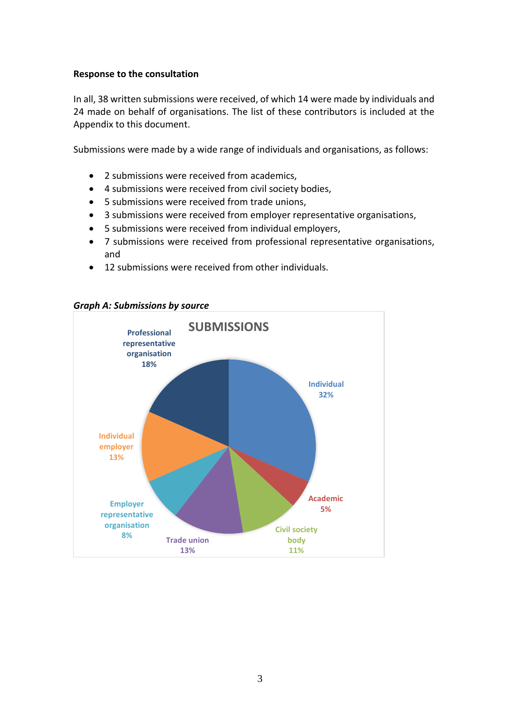#### **Response to the consultation**

In all, 38 written submissions were received, of which 14 were made by individuals and 24 made on behalf of organisations. The list of these contributors is included at the Appendix to this document.

Submissions were made by a wide range of individuals and organisations, as follows:

- 2 submissions were received from academics.
- 4 submissions were received from civil society bodies,
- 5 submissions were received from trade unions,
- 3 submissions were received from employer representative organisations,
- 5 submissions were received from individual employers,
- 7 submissions were received from professional representative organisations, and
- 12 submissions were received from other individuals.



#### *Graph A: Submissions by source*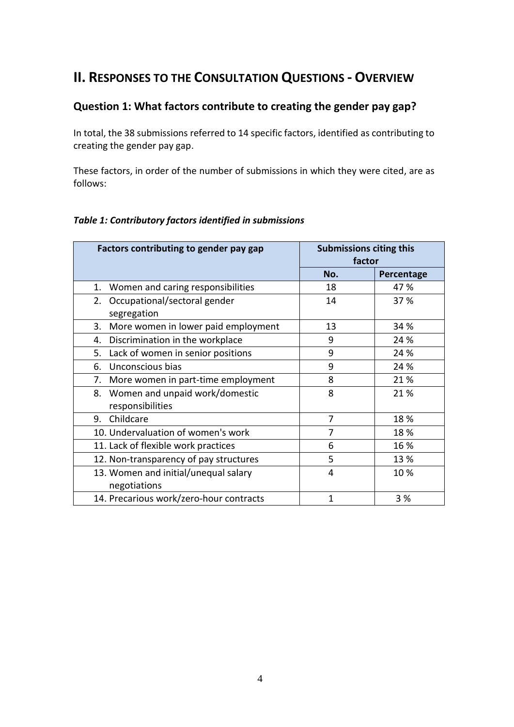# **II. RESPONSES TO THE CONSULTATION QUESTIONS - OVERVIEW**

## **Question 1: What factors contribute to creating the gender pay gap?**

In total, the 38 submissions referred to 14 specific factors, identified as contributing to creating the gender pay gap.

These factors, in order of the number of submissions in which they were cited, are as follows:

| Factors contributing to gender pay gap                | <b>Submissions citing this</b><br>factor |            |
|-------------------------------------------------------|------------------------------------------|------------|
|                                                       | No.                                      | Percentage |
| Women and caring responsibilities<br>1.               | 18                                       | 47 %       |
| Occupational/sectoral gender<br>2.<br>segregation     | 14                                       | 37 %       |
| More women in lower paid employment<br>3.             | 13                                       | 34 %       |
| Discrimination in the workplace<br>4.                 | 9                                        | 24 %       |
| Lack of women in senior positions<br>5.               | 9                                        | 24 %       |
| Unconscious bias<br>6.                                | 9                                        | 24 %       |
| More women in part-time employment<br>7.              | 8                                        | 21 %       |
| 8. Women and unpaid work/domestic<br>responsibilities | 8                                        | 21 %       |
| Childcare<br>9.                                       | 7                                        | 18 %       |
| 10. Undervaluation of women's work                    | 7                                        | 18 %       |
| 11. Lack of flexible work practices                   | 6                                        | 16 %       |
| 12. Non-transparency of pay structures                | 5                                        | 13 %       |
| 13. Women and initial/unequal salary<br>negotiations  | 4                                        | 10%        |
| 14. Precarious work/zero-hour contracts               | 1                                        | 3 %        |

#### *Table 1: Contributory factors identified in submissions*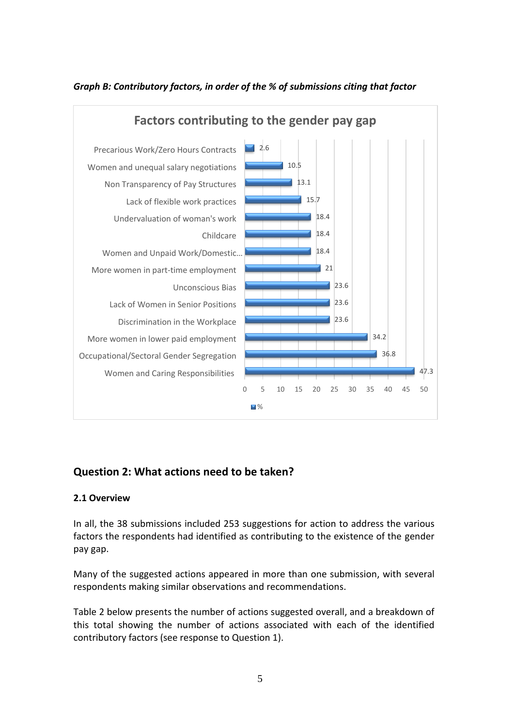

## *Graph B: Contributory factors, in order of the % of submissions citing that factor*

## **Question 2: What actions need to be taken?**

#### **2.1 Overview**

In all, the 38 submissions included 253 suggestions for action to address the various factors the respondents had identified as contributing to the existence of the gender pay gap.

Many of the suggested actions appeared in more than one submission, with several respondents making similar observations and recommendations.

Table 2 below presents the number of actions suggested overall, and a breakdown of this total showing the number of actions associated with each of the identified contributory factors (see response to Question 1).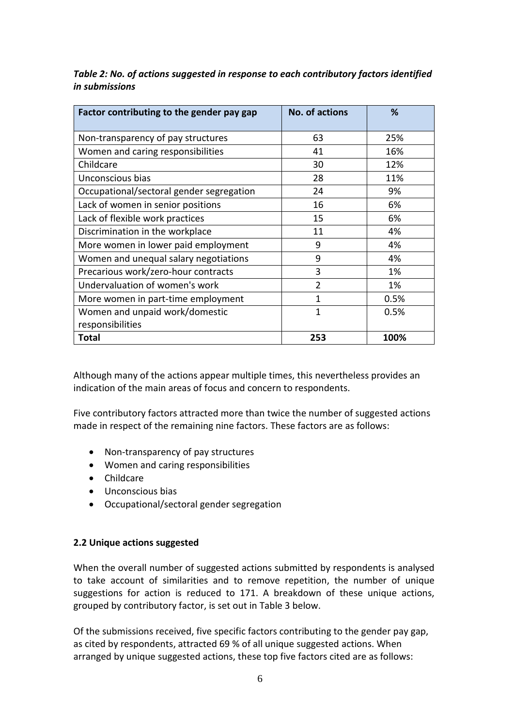| Factor contributing to the gender pay gap | <b>No. of actions</b> | %    |
|-------------------------------------------|-----------------------|------|
| Non-transparency of pay structures        | 63                    | 25%  |
| Women and caring responsibilities         | 41                    | 16%  |
| Childcare                                 | 30                    | 12%  |
| Unconscious bias                          | 28                    | 11%  |
| Occupational/sectoral gender segregation  | 24                    | 9%   |
| Lack of women in senior positions         | 16                    | 6%   |
| Lack of flexible work practices           | 15                    | 6%   |
| Discrimination in the workplace           | 11                    | 4%   |
| More women in lower paid employment       | 9                     | 4%   |
| Women and unequal salary negotiations     | 9                     | 4%   |
| Precarious work/zero-hour contracts       | 3                     | 1%   |
| Undervaluation of women's work            | $\overline{2}$        | 1%   |
| More women in part-time employment        | 1                     | 0.5% |
| Women and unpaid work/domestic            | 1                     | 0.5% |
| responsibilities                          |                       |      |
| <b>Total</b>                              | 253                   | 100% |

*Table 2: No. of actions suggested in response to each contributory factors identified in submissions*

Although many of the actions appear multiple times, this nevertheless provides an indication of the main areas of focus and concern to respondents.

Five contributory factors attracted more than twice the number of suggested actions made in respect of the remaining nine factors. These factors are as follows:

- Non-transparency of pay structures
- Women and caring responsibilities
- Childcare
- Unconscious bias
- Occupational/sectoral gender segregation

#### **2.2 Unique actions suggested**

When the overall number of suggested actions submitted by respondents is analysed to take account of similarities and to remove repetition, the number of unique suggestions for action is reduced to 171. A breakdown of these unique actions, grouped by contributory factor, is set out in Table 3 below.

Of the submissions received, five specific factors contributing to the gender pay gap, as cited by respondents, attracted 69 % of all unique suggested actions. When arranged by unique suggested actions, these top five factors cited are as follows: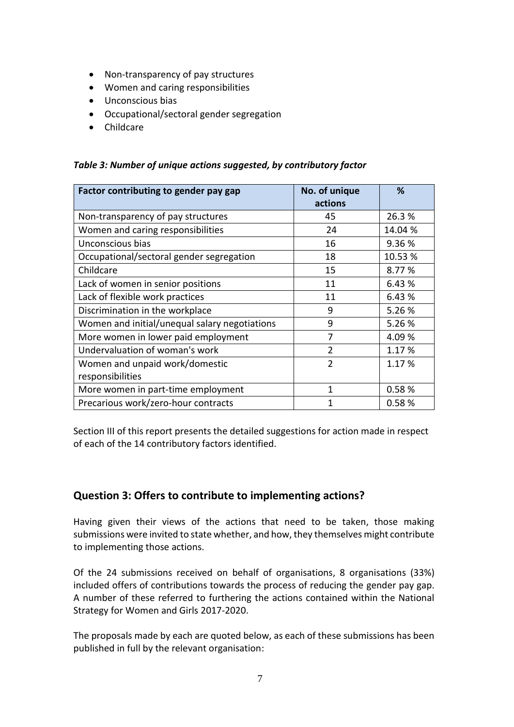- Non-transparency of pay structures
- Women and caring responsibilities
- Unconscious bias
- Occupational/sectoral gender segregation
- Childcare

| Factor contributing to gender pay gap         | No. of unique<br>actions | %       |
|-----------------------------------------------|--------------------------|---------|
|                                               |                          |         |
| Non-transparency of pay structures            | 45                       | 26.3%   |
| Women and caring responsibilities             | 24                       | 14.04 % |
| Unconscious bias                              | 16                       | 9.36 %  |
| Occupational/sectoral gender segregation      | 18                       | 10.53 % |
| Childcare                                     | 15                       | 8.77 %  |
| Lack of women in senior positions             | 11                       | 6.43 %  |
| Lack of flexible work practices               | 11                       | 6.43 %  |
| Discrimination in the workplace               | 9                        | 5.26 %  |
| Women and initial/unequal salary negotiations | 9                        | 5.26 %  |
| More women in lower paid employment           | 7                        | 4.09 %  |
| Undervaluation of woman's work                | $\mathfrak{D}$           | 1.17 %  |
| Women and unpaid work/domestic                | $\overline{2}$           | 1.17 %  |
| responsibilities                              |                          |         |
| More women in part-time employment            | 1                        | 0.58%   |
| Precarious work/zero-hour contracts           | 1                        | 0.58%   |

*Table 3: Number of unique actions suggested, by contributory factor*

Section III of this report presents the detailed suggestions for action made in respect of each of the 14 contributory factors identified.

## **Question 3: Offers to contribute to implementing actions?**

Having given their views of the actions that need to be taken, those making submissions were invited to state whether, and how, they themselves might contribute to implementing those actions.

Of the 24 submissions received on behalf of organisations, 8 organisations (33%) included offers of contributions towards the process of reducing the gender pay gap. A number of these referred to furthering the actions contained within the National Strategy for Women and Girls 2017-2020.

The proposals made by each are quoted below, as each of these submissions has been published in full by the relevant organisation: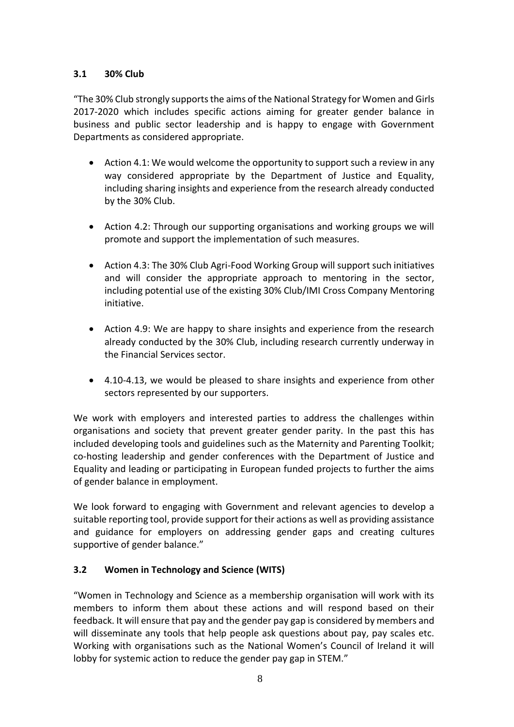## **3.1 30% Club**

"The 30% Club strongly supports the aims of the National Strategy for Women and Girls 2017-2020 which includes specific actions aiming for greater gender balance in business and public sector leadership and is happy to engage with Government Departments as considered appropriate.

- Action 4.1: We would welcome the opportunity to support such a review in any way considered appropriate by the Department of Justice and Equality, including sharing insights and experience from the research already conducted by the 30% Club.
- Action 4.2: Through our supporting organisations and working groups we will promote and support the implementation of such measures.
- Action 4.3: The 30% Club Agri-Food Working Group will support such initiatives and will consider the appropriate approach to mentoring in the sector, including potential use of the existing 30% Club/IMI Cross Company Mentoring initiative.
- Action 4.9: We are happy to share insights and experience from the research already conducted by the 30% Club, including research currently underway in the Financial Services sector.
- 4.10-4.13, we would be pleased to share insights and experience from other sectors represented by our supporters.

We work with employers and interested parties to address the challenges within organisations and society that prevent greater gender parity. In the past this has included developing tools and guidelines such as the Maternity and Parenting Toolkit; co-hosting leadership and gender conferences with the Department of Justice and Equality and leading or participating in European funded projects to further the aims of gender balance in employment.

We look forward to engaging with Government and relevant agencies to develop a suitable reporting tool, provide support for their actions as well as providing assistance and guidance for employers on addressing gender gaps and creating cultures supportive of gender balance."

## **3.2 Women in Technology and Science (WITS)**

"Women in Technology and Science as a membership organisation will work with its members to inform them about these actions and will respond based on their feedback. It will ensure that pay and the gender pay gap is considered by members and will disseminate any tools that help people ask questions about pay, pay scales etc. Working with organisations such as the National Women's Council of Ireland it will lobby for systemic action to reduce the gender pay gap in STEM."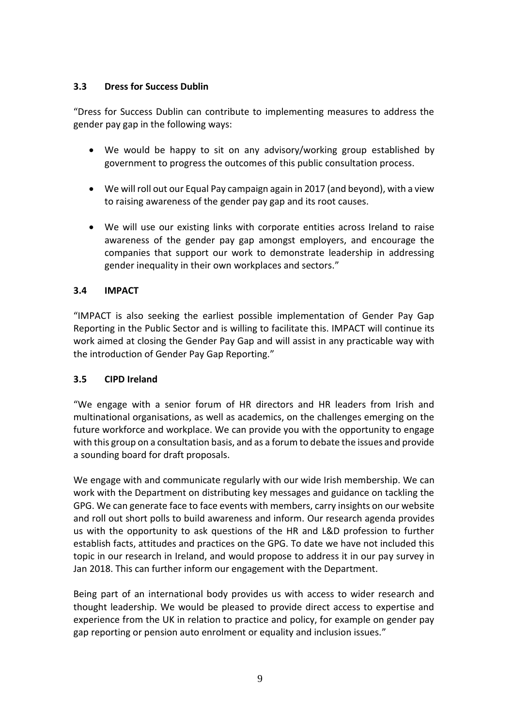## **3.3 Dress for Success Dublin**

"Dress for Success Dublin can contribute to implementing measures to address the gender pay gap in the following ways:

- We would be happy to sit on any advisory/working group established by government to progress the outcomes of this public consultation process.
- We will roll out our Equal Pay campaign again in 2017 (and beyond), with a view to raising awareness of the gender pay gap and its root causes.
- We will use our existing links with corporate entities across Ireland to raise awareness of the gender pay gap amongst employers, and encourage the companies that support our work to demonstrate leadership in addressing gender inequality in their own workplaces and sectors."

## **3.4 IMPACT**

"IMPACT is also seeking the earliest possible implementation of Gender Pay Gap Reporting in the Public Sector and is willing to facilitate this. IMPACT will continue its work aimed at closing the Gender Pay Gap and will assist in any practicable way with the introduction of Gender Pay Gap Reporting."

## **3.5 CIPD Ireland**

"We engage with a senior forum of HR directors and HR leaders from Irish and multinational organisations, as well as academics, on the challenges emerging on the future workforce and workplace. We can provide you with the opportunity to engage with this group on a consultation basis, and as a forum to debate the issues and provide a sounding board for draft proposals.

We engage with and communicate regularly with our wide Irish membership. We can work with the Department on distributing key messages and guidance on tackling the GPG. We can generate face to face events with members, carry insights on our website and roll out short polls to build awareness and inform. Our research agenda provides us with the opportunity to ask questions of the HR and L&D profession to further establish facts, attitudes and practices on the GPG. To date we have not included this topic in our research in Ireland, and would propose to address it in our pay survey in Jan 2018. This can further inform our engagement with the Department.

Being part of an international body provides us with access to wider research and thought leadership. We would be pleased to provide direct access to expertise and experience from the UK in relation to practice and policy, for example on gender pay gap reporting or pension auto enrolment or equality and inclusion issues."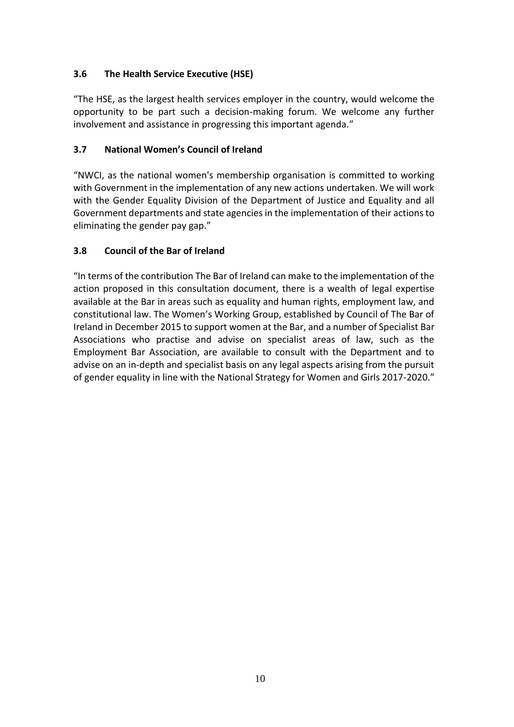## **3.6 The Health Service Executive (HSE)**

"The HSE, as the largest health services employer in the country, would welcome the opportunity to be part such a decision-making forum. We welcome any further involvement and assistance in progressing this important agenda."

## **3.7 National Women's Council of Ireland**

"NWCI, as the national women's membership organisation is committed to working with Government in the implementation of any new actions undertaken. We will work with the Gender Equality Division of the Department of Justice and Equality and all Government departments and state agencies in the implementation of their actions to eliminating the gender pay gap."

## **3.8 Council of the Bar of Ireland**

"In terms of the contribution The Bar of Ireland can make to the implementation of the action proposed in this consultation document, there is a wealth of legal expertise available at the Bar in areas such as equality and human rights, employment law, and constitutional law. The Women's Working Group, established by Council of The Bar of Ireland in December 2015 to support women at the Bar, and a number of Specialist Bar Associations who practise and advise on specialist areas of law, such as the Employment Bar Association, are available to consult with the Department and to advise on an in-depth and specialist basis on any legal aspects arising from the pursuit of gender equality in line with the National Strategy for Women and Girls 2017-2020."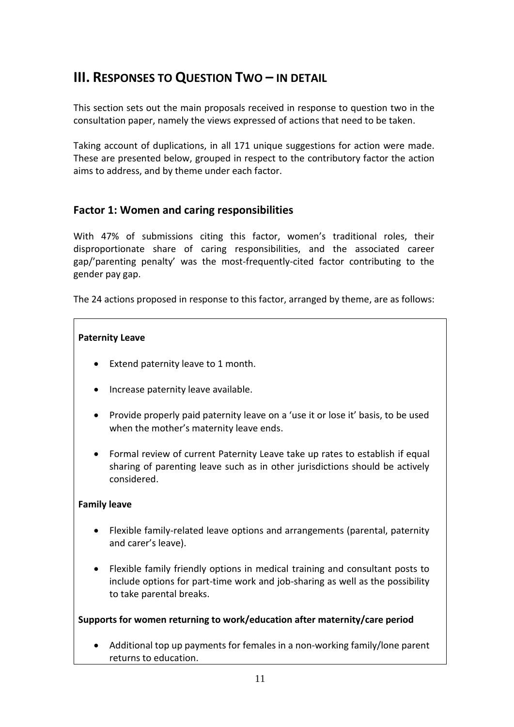# **III. RESPONSES TO QUESTION TWO – IN DETAIL**

This section sets out the main proposals received in response to question two in the consultation paper, namely the views expressed of actions that need to be taken.

Taking account of duplications, in all 171 unique suggestions for action were made. These are presented below, grouped in respect to the contributory factor the action aims to address, and by theme under each factor.

## **Factor 1: Women and caring responsibilities**

With 47% of submissions citing this factor, women's traditional roles, their disproportionate share of caring responsibilities, and the associated career gap/'parenting penalty' was the most-frequently-cited factor contributing to the gender pay gap.

The 24 actions proposed in response to this factor, arranged by theme, are as follows:

## **Paternity Leave**

- Extend paternity leave to 1 month.
- Increase paternity leave available.
- Provide properly paid paternity leave on a 'use it or lose it' basis, to be used when the mother's maternity leave ends.
- Formal review of current Paternity Leave take up rates to establish if equal sharing of parenting leave such as in other jurisdictions should be actively considered.

## **Family leave**

- Flexible family-related leave options and arrangements (parental, paternity and carer's leave).
- Flexible family friendly options in medical training and consultant posts to include options for part-time work and job-sharing as well as the possibility to take parental breaks.

## **Supports for women returning to work/education after maternity/care period**

 Additional top up payments for females in a non-working family/lone parent returns to education.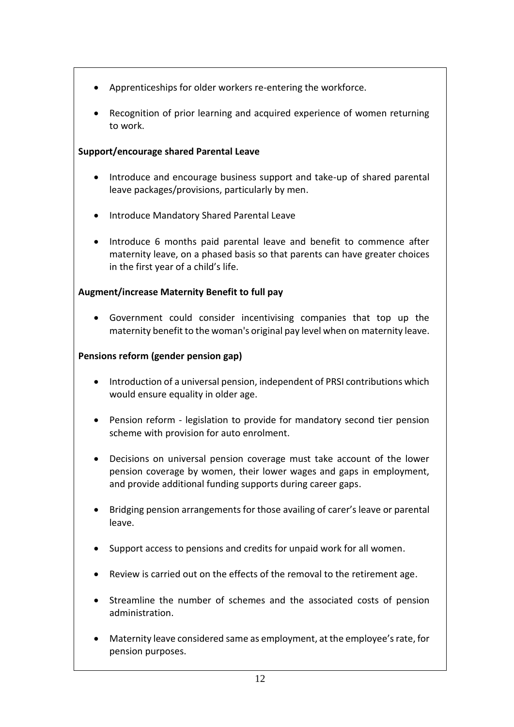- Apprenticeships for older workers re-entering the workforce.
- Recognition of prior learning and acquired experience of women returning to work.

## **Support/encourage shared Parental Leave**

- Introduce and encourage business support and take-up of shared parental leave packages/provisions, particularly by men.
- Introduce Mandatory Shared Parental Leave
- Introduce 6 months paid parental leave and benefit to commence after maternity leave, on a phased basis so that parents can have greater choices in the first year of a child's life.

## **Augment/increase Maternity Benefit to full pay**

 Government could consider incentivising companies that top up the maternity benefit to the woman's original pay level when on maternity leave.

## **Pensions reform (gender pension gap)**

- Introduction of a universal pension, independent of PRSI contributions which would ensure equality in older age.
- Pension reform legislation to provide for mandatory second tier pension scheme with provision for auto enrolment.
- Decisions on universal pension coverage must take account of the lower pension coverage by women, their lower wages and gaps in employment, and provide additional funding supports during career gaps.
- Bridging pension arrangements for those availing of carer's leave or parental leave.
- Support access to pensions and credits for unpaid work for all women.
- Review is carried out on the effects of the removal to the retirement age.
- Streamline the number of schemes and the associated costs of pension administration.
- Maternity leave considered same as employment, at the employee'srate, for pension purposes.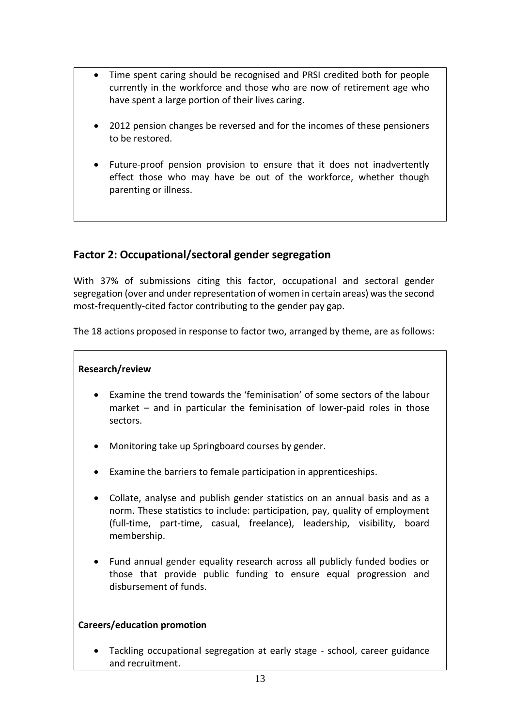- Time spent caring should be recognised and PRSI credited both for people currently in the workforce and those who are now of retirement age who have spent a large portion of their lives caring.
- 2012 pension changes be reversed and for the incomes of these pensioners to be restored.
- Future-proof pension provision to ensure that it does not inadvertently effect those who may have be out of the workforce, whether though parenting or illness.

## **Factor 2: Occupational/sectoral gender segregation**

With 37% of submissions citing this factor, occupational and sectoral gender segregation (over and under representation of women in certain areas) was the second most-frequently-cited factor contributing to the gender pay gap.

The 18 actions proposed in response to factor two, arranged by theme, are as follows:

## **Research/review**

- Examine the trend towards the 'feminisation' of some sectors of the labour market – and in particular the feminisation of lower-paid roles in those sectors.
- Monitoring take up Springboard courses by gender.
- Examine the barriers to female participation in apprenticeships.
- Collate, analyse and publish gender statistics on an annual basis and as a norm. These statistics to include: participation, pay, quality of employment (full-time, part-time, casual, freelance), leadership, visibility, board membership.
- Fund annual gender equality research across all publicly funded bodies or those that provide public funding to ensure equal progression and disbursement of funds.

## **Careers/education promotion**

 Tackling occupational segregation at early stage - school, career guidance and recruitment.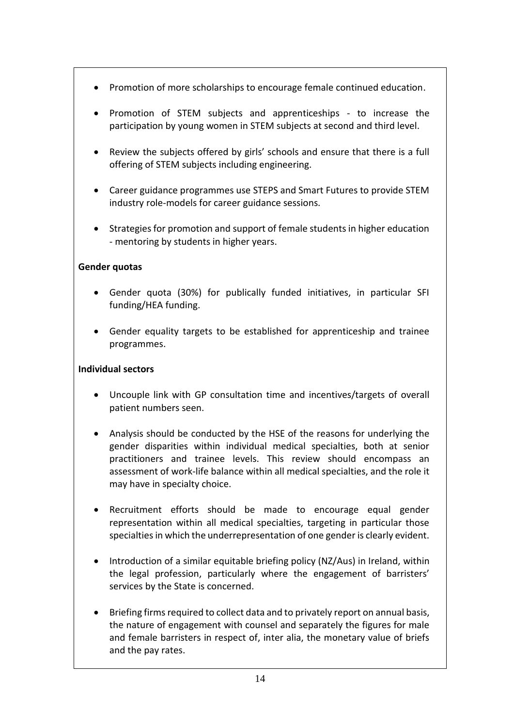- Promotion of more scholarships to encourage female continued education.
- Promotion of STEM subjects and apprenticeships to increase the participation by young women in STEM subjects at second and third level.
- Review the subjects offered by girls' schools and ensure that there is a full offering of STEM subjects including engineering.
- Career guidance programmes use STEPS and Smart Futures to provide STEM industry role-models for career guidance sessions.
- Strategies for promotion and support of female students in higher education - mentoring by students in higher years.

## **Gender quotas**

- Gender quota (30%) for publically funded initiatives, in particular SFI funding/HEA funding.
- Gender equality targets to be established for apprenticeship and trainee programmes.

## **Individual sectors**

- Uncouple link with GP consultation time and incentives/targets of overall patient numbers seen.
- Analysis should be conducted by the HSE of the reasons for underlying the gender disparities within individual medical specialties, both at senior practitioners and trainee levels. This review should encompass an assessment of work-life balance within all medical specialties, and the role it may have in specialty choice.
- Recruitment efforts should be made to encourage equal gender representation within all medical specialties, targeting in particular those specialties in which the underrepresentation of one gender is clearly evident.
- Introduction of a similar equitable briefing policy (NZ/Aus) in Ireland, within the legal profession, particularly where the engagement of barristers' services by the State is concerned.
- Briefing firms required to collect data and to privately report on annual basis, the nature of engagement with counsel and separately the figures for male and female barristers in respect of, inter alia, the monetary value of briefs and the pay rates.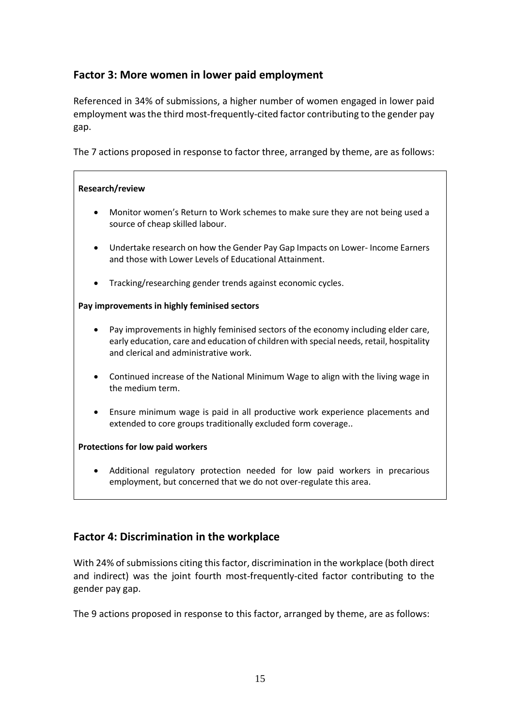## **Factor 3: More women in lower paid employment**

Referenced in 34% of submissions, a higher number of women engaged in lower paid employment was the third most-frequently-cited factor contributing to the gender pay gap.

The 7 actions proposed in response to factor three, arranged by theme, are as follows:

#### **Research/review**

- Monitor women's Return to Work schemes to make sure they are not being used a source of cheap skilled labour.
- Undertake research on how the Gender Pay Gap Impacts on Lower- Income Earners and those with Lower Levels of Educational Attainment.
- Tracking/researching gender trends against economic cycles.

#### **Pay improvements in highly feminised sectors**

- Pay improvements in highly feminised sectors of the economy including elder care, early education, care and education of children with special needs, retail, hospitality and clerical and administrative work.
- Continued increase of the National Minimum Wage to align with the living wage in the medium term.
- Ensure minimum wage is paid in all productive work experience placements and extended to core groups traditionally excluded form coverage..

#### **Protections for low paid workers**

 Additional regulatory protection needed for low paid workers in precarious employment, but concerned that we do not over-regulate this area.

## **Factor 4: Discrimination in the workplace**

With 24% of submissions citing this factor, discrimination in the workplace (both direct and indirect) was the joint fourth most-frequently-cited factor contributing to the gender pay gap.

The 9 actions proposed in response to this factor, arranged by theme, are as follows: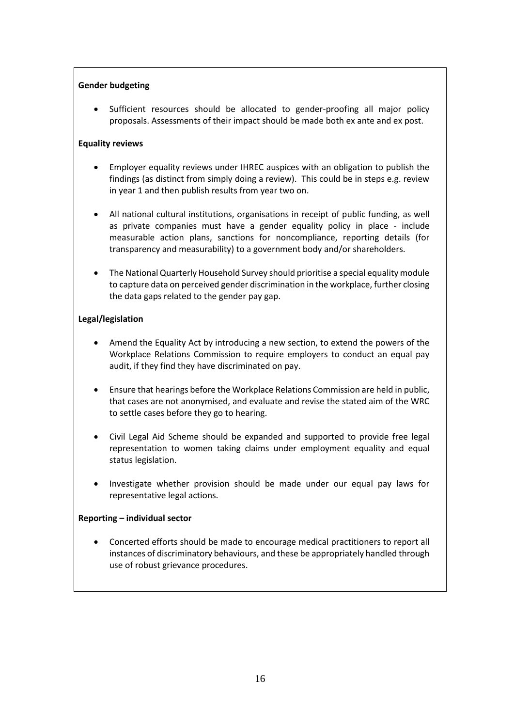#### **Gender budgeting**

 Sufficient resources should be allocated to gender-proofing all major policy proposals. Assessments of their impact should be made both ex ante and ex post.

#### **Equality reviews**

- Employer equality reviews under IHREC auspices with an obligation to publish the findings (as distinct from simply doing a review). This could be in steps e.g. review in year 1 and then publish results from year two on.
- All national cultural institutions, organisations in receipt of public funding, as well as private companies must have a gender equality policy in place - include measurable action plans, sanctions for noncompliance, reporting details (for transparency and measurability) to a government body and/or shareholders.
- The National Quarterly Household Survey should prioritise a special equality module to capture data on perceived gender discrimination in the workplace, further closing the data gaps related to the gender pay gap.

#### **Legal/legislation**

- Amend the Equality Act by introducing a new section, to extend the powers of the Workplace Relations Commission to require employers to conduct an equal pay audit, if they find they have discriminated on pay.
- Ensure that hearings before the Workplace Relations Commission are held in public, that cases are not anonymised, and evaluate and revise the stated aim of the WRC to settle cases before they go to hearing.
- Civil Legal Aid Scheme should be expanded and supported to provide free legal representation to women taking claims under employment equality and equal status legislation.
- Investigate whether provision should be made under our equal pay laws for representative legal actions.

#### **Reporting – individual sector**

 Concerted efforts should be made to encourage medical practitioners to report all instances of discriminatory behaviours, and these be appropriately handled through use of robust grievance procedures.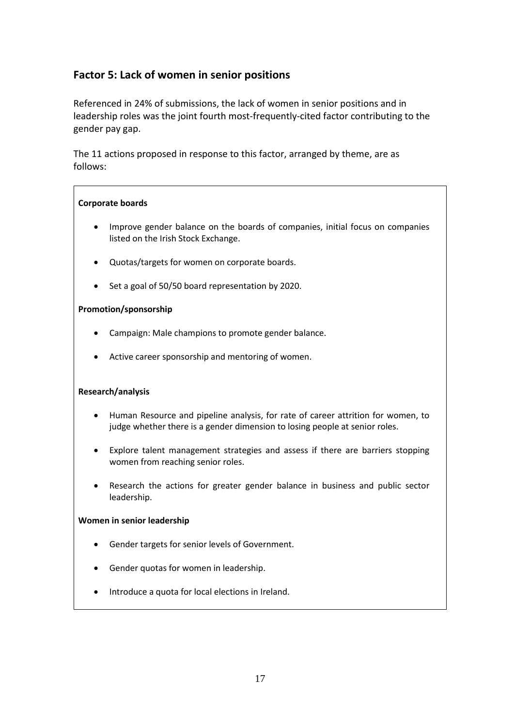## **Factor 5: Lack of women in senior positions**

Referenced in 24% of submissions, the lack of women in senior positions and in leadership roles was the joint fourth most-frequently-cited factor contributing to the gender pay gap.

The 11 actions proposed in response to this factor, arranged by theme, are as follows:

#### **Corporate boards**

- Improve gender balance on the boards of companies, initial focus on companies listed on the Irish Stock Exchange.
- Quotas/targets for women on corporate boards.
- Set a goal of 50/50 board representation by 2020.

#### **Promotion/sponsorship**

- Campaign: Male champions to promote gender balance.
- Active career sponsorship and mentoring of women.

#### **Research/analysis**

- Human Resource and pipeline analysis, for rate of career attrition for women, to judge whether there is a gender dimension to losing people at senior roles.
- Explore talent management strategies and assess if there are barriers stopping women from reaching senior roles.
- Research the actions for greater gender balance in business and public sector leadership.

#### **Women in senior leadership**

- Gender targets for senior levels of Government.
- Gender quotas for women in leadership.
- Introduce a quota for local elections in Ireland.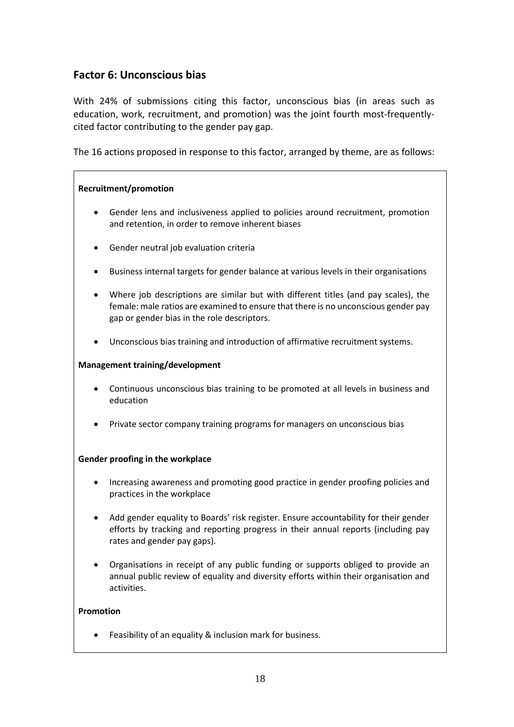## **Factor 6: Unconscious bias**

With 24% of submissions citing this factor, unconscious bias (in areas such as education, work, recruitment, and promotion) was the joint fourth most-frequentlycited factor contributing to the gender pay gap.

The 16 actions proposed in response to this factor, arranged by theme, are as follows:

#### **Recruitment/promotion**

- Gender lens and inclusiveness applied to policies around recruitment, promotion and retention, in order to remove inherent biases
- Gender neutral job evaluation criteria
- Business internal targets for gender balance at various levels in their organisations
- Where job descriptions are similar but with different titles (and pay scales), the female: male ratios are examined to ensure that there is no unconscious gender pay gap or gender bias in the role descriptors.
- Unconscious bias training and introduction of affirmative recruitment systems.

#### **Management training/development**

- Continuous unconscious bias training to be promoted at all levels in business and education
- Private sector company training programs for managers on unconscious bias

#### **Gender proofing in the workplace**

- Increasing awareness and promoting good practice in gender proofing policies and practices in the workplace
- Add gender equality to Boards' risk register. Ensure accountability for their gender efforts by tracking and reporting progress in their annual reports (including pay rates and gender pay gaps).
- Organisations in receipt of any public funding or supports obliged to provide an annual public review of equality and diversity efforts within their organisation and activities.

#### **Promotion**

Feasibility of an equality & inclusion mark for business.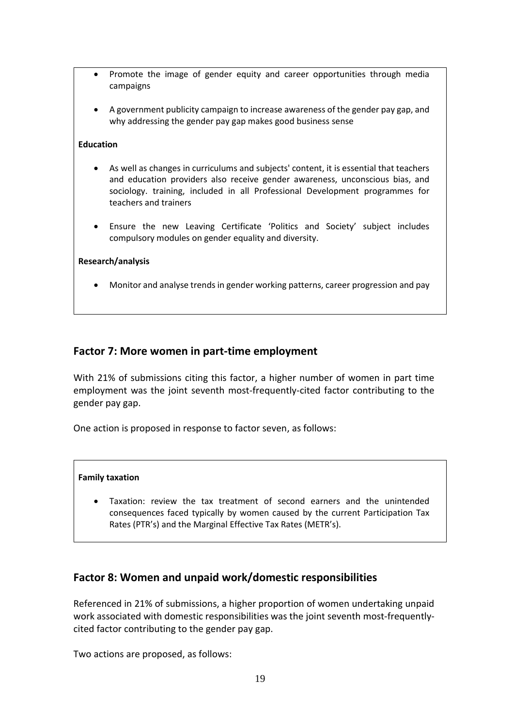- Promote the image of gender equity and career opportunities through media campaigns
- A government publicity campaign to increase awareness of the gender pay gap, and why addressing the gender pay gap makes good business sense

#### **Education**

- As well as changes in curriculums and subjects' content, it is essential that teachers and education providers also receive gender awareness, unconscious bias, and sociology. training, included in all Professional Development programmes for teachers and trainers
- Ensure the new Leaving Certificate 'Politics and Society' subject includes compulsory modules on gender equality and diversity.

#### **Research/analysis**

Monitor and analyse trends in gender working patterns, career progression and pay

## **Factor 7: More women in part-time employment**

With 21% of submissions citing this factor, a higher number of women in part time employment was the joint seventh most-frequently-cited factor contributing to the gender pay gap.

One action is proposed in response to factor seven, as follows:

#### **Family taxation**

 Taxation: review the tax treatment of second earners and the unintended consequences faced typically by women caused by the current Participation Tax Rates (PTR's) and the Marginal Effective Tax Rates (METR's).

## **Factor 8: Women and unpaid work/domestic responsibilities**

Referenced in 21% of submissions, a higher proportion of women undertaking unpaid work associated with domestic responsibilities was the joint seventh most-frequentlycited factor contributing to the gender pay gap.

Two actions are proposed, as follows: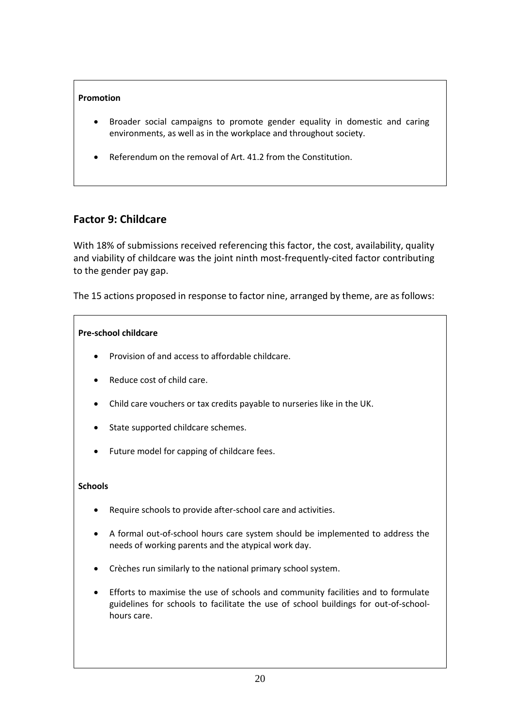#### **Promotion**

- Broader social campaigns to promote gender equality in domestic and caring environments, as well as in the workplace and throughout society.
- Referendum on the removal of Art. 41.2 from the Constitution.

## **Factor 9: Childcare**

With 18% of submissions received referencing this factor, the cost, availability, quality and viability of childcare was the joint ninth most-frequently-cited factor contributing to the gender pay gap.

The 15 actions proposed in response to factor nine, arranged by theme, are as follows:

#### **Pre-school childcare**

- Provision of and access to affordable childcare.
- Reduce cost of child care.
- Child care vouchers or tax credits payable to nurseries like in the UK.
- State supported childcare schemes.
- Future model for capping of childcare fees.

#### **Schools**

- Require schools to provide after-school care and activities.
- A formal out-of-school hours care system should be implemented to address the needs of working parents and the atypical work day.
- Crèches run similarly to the national primary school system.
- Efforts to maximise the use of schools and community facilities and to formulate guidelines for schools to facilitate the use of school buildings for out-of-schoolhours care.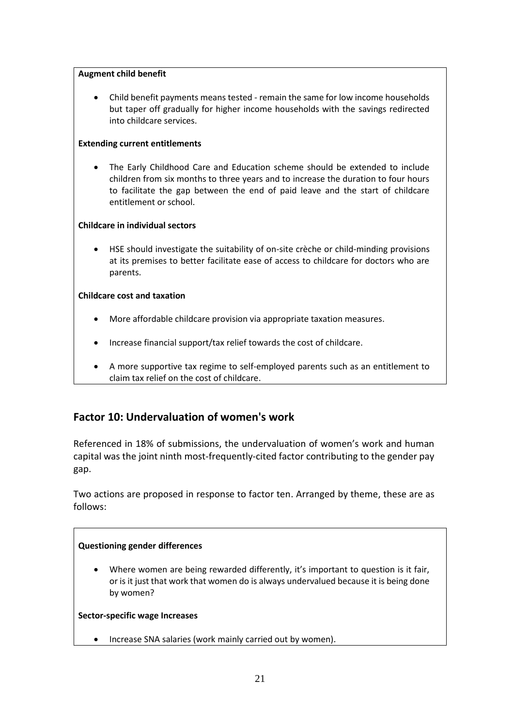#### **Augment child benefit**

 Child benefit payments means tested - remain the same for low income households but taper off gradually for higher income households with the savings redirected into childcare services.

#### **Extending current entitlements**

 The Early Childhood Care and Education scheme should be extended to include children from six months to three years and to increase the duration to four hours to facilitate the gap between the end of paid leave and the start of childcare entitlement or school.

#### **Childcare in individual sectors**

 HSE should investigate the suitability of on-site crèche or child-minding provisions at its premises to better facilitate ease of access to childcare for doctors who are parents.

#### **Childcare cost and taxation**

- More affordable childcare provision via appropriate taxation measures.
- Increase financial support/tax relief towards the cost of childcare.
- A more supportive tax regime to self-employed parents such as an entitlement to claim tax relief on the cost of childcare.

## **Factor 10: Undervaluation of women's work**

Referenced in 18% of submissions, the undervaluation of women's work and human capital was the joint ninth most-frequently-cited factor contributing to the gender pay gap.

Two actions are proposed in response to factor ten. Arranged by theme, these are as follows:

#### **Questioning gender differences**

Where women are being rewarded differently, it's important to question is it fair, or is it just that work that women do is always undervalued because it is being done by women?

#### **Sector-specific wage Increases**

• Increase SNA salaries (work mainly carried out by women).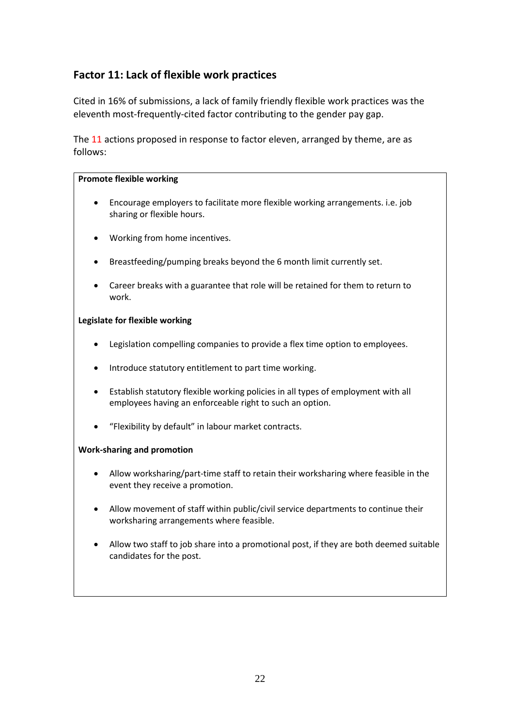## **Factor 11: Lack of flexible work practices**

Cited in 16% of submissions, a lack of family friendly flexible work practices was the eleventh most-frequently-cited factor contributing to the gender pay gap.

The 11 actions proposed in response to factor eleven, arranged by theme, are as follows:

#### **Promote flexible working**

- Encourage employers to facilitate more flexible working arrangements. i.e. job sharing or flexible hours.
- Working from home incentives.
- Breastfeeding/pumping breaks beyond the 6 month limit currently set.
- Career breaks with a guarantee that role will be retained for them to return to work.

#### **Legislate for flexible working**

- Legislation compelling companies to provide a flex time option to employees.
- Introduce statutory entitlement to part time working.
- Establish statutory flexible working policies in all types of employment with all employees having an enforceable right to such an option.
- "Flexibility by default" in labour market contracts.

#### **Work-sharing and promotion**

- Allow worksharing/part-time staff to retain their worksharing where feasible in the event they receive a promotion.
- Allow movement of staff within public/civil service departments to continue their worksharing arrangements where feasible.
- Allow two staff to job share into a promotional post, if they are both deemed suitable candidates for the post.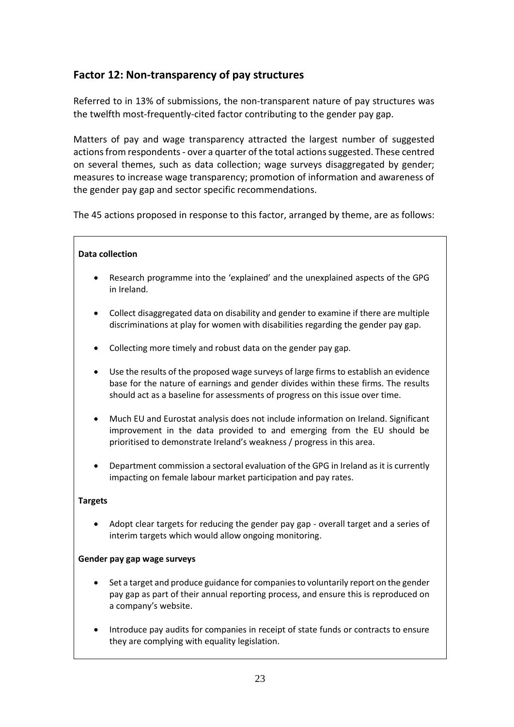## **Factor 12: Non-transparency of pay structures**

Referred to in 13% of submissions, the non-transparent nature of pay structures was the twelfth most-frequently-cited factor contributing to the gender pay gap.

Matters of pay and wage transparency attracted the largest number of suggested actions from respondents- over a quarter of the total actionssuggested. These centred on several themes, such as data collection; wage surveys disaggregated by gender; measures to increase wage transparency; promotion of information and awareness of the gender pay gap and sector specific recommendations.

The 45 actions proposed in response to this factor, arranged by theme, are as follows:

#### **Data collection**

- Research programme into the 'explained' and the unexplained aspects of the GPG in Ireland.
- Collect disaggregated data on disability and gender to examine if there are multiple discriminations at play for women with disabilities regarding the gender pay gap.
- Collecting more timely and robust data on the gender pay gap.
- Use the results of the proposed wage surveys of large firms to establish an evidence base for the nature of earnings and gender divides within these firms. The results should act as a baseline for assessments of progress on this issue over time.
- Much EU and Eurostat analysis does not include information on Ireland. Significant improvement in the data provided to and emerging from the EU should be prioritised to demonstrate Ireland's weakness / progress in this area.
- Department commission a sectoral evaluation of the GPG in Ireland as it is currently impacting on female labour market participation and pay rates.

#### **Targets**

 Adopt clear targets for reducing the gender pay gap - overall target and a series of interim targets which would allow ongoing monitoring.

#### **Gender pay gap wage surveys**

- Set a target and produce guidance for companies to voluntarily report on the gender pay gap as part of their annual reporting process, and ensure this is reproduced on a company's website.
- Introduce pay audits for companies in receipt of state funds or contracts to ensure they are complying with equality legislation.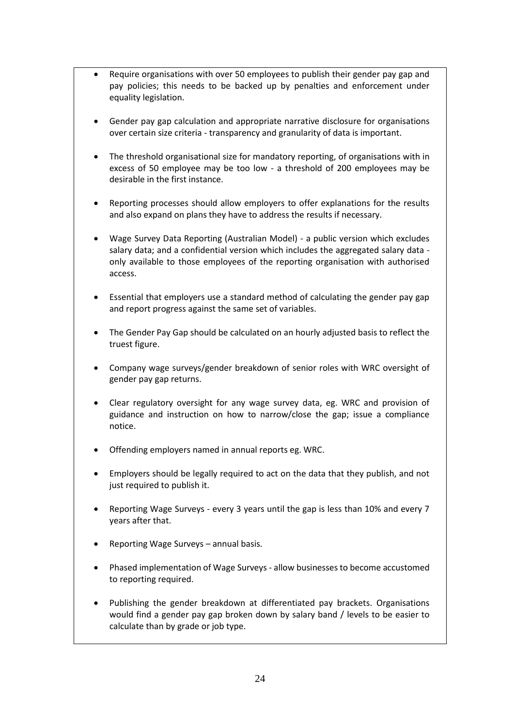- Require organisations with over 50 employees to publish their gender pay gap and pay policies; this needs to be backed up by penalties and enforcement under equality legislation.
- Gender pay gap calculation and appropriate narrative disclosure for organisations over certain size criteria - transparency and granularity of data is important.
- The threshold organisational size for mandatory reporting, of organisations with in excess of 50 employee may be too low - a threshold of 200 employees may be desirable in the first instance.
- Reporting processes should allow employers to offer explanations for the results and also expand on plans they have to address the results if necessary.
- Wage Survey Data Reporting (Australian Model) a public version which excludes salary data; and a confidential version which includes the aggregated salary data only available to those employees of the reporting organisation with authorised access.
- Essential that employers use a standard method of calculating the gender pay gap and report progress against the same set of variables.
- The Gender Pay Gap should be calculated on an hourly adjusted basis to reflect the truest figure.
- Company wage surveys/gender breakdown of senior roles with WRC oversight of gender pay gap returns.
- Clear regulatory oversight for any wage survey data, eg. WRC and provision of guidance and instruction on how to narrow/close the gap; issue a compliance notice.
- Offending employers named in annual reports eg. WRC.
- Employers should be legally required to act on the data that they publish, and not just required to publish it.
- Reporting Wage Surveys every 3 years until the gap is less than 10% and every 7 years after that.
- Reporting Wage Surveys annual basis.
- Phased implementation of Wage Surveys allow businesses to become accustomed to reporting required.
- Publishing the gender breakdown at differentiated pay brackets. Organisations would find a gender pay gap broken down by salary band / levels to be easier to calculate than by grade or job type.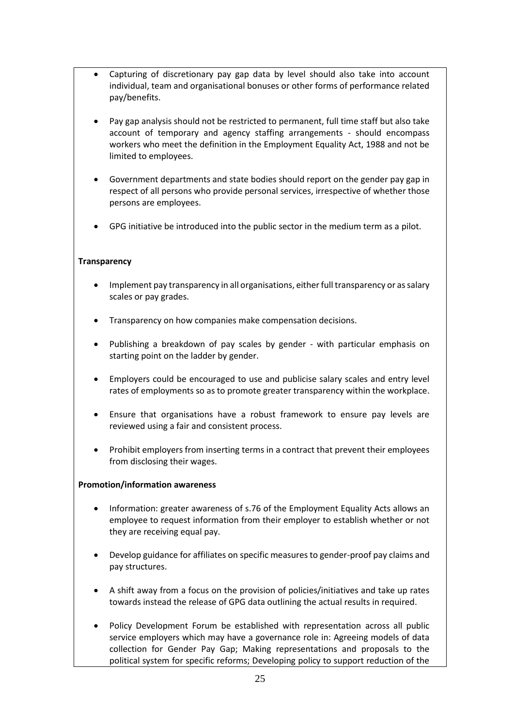- Capturing of discretionary pay gap data by level should also take into account individual, team and organisational bonuses or other forms of performance related pay/benefits.
- Pay gap analysis should not be restricted to permanent, full time staff but also take account of temporary and agency staffing arrangements - should encompass workers who meet the definition in the Employment Equality Act, 1988 and not be limited to employees.
- Government departments and state bodies should report on the gender pay gap in respect of all persons who provide personal services, irrespective of whether those persons are employees.
- GPG initiative be introduced into the public sector in the medium term as a pilot.

#### **Transparency**

- Implement pay transparency in all organisations, either full transparency or as salary scales or pay grades.
- Transparency on how companies make compensation decisions.
- Publishing a breakdown of pay scales by gender with particular emphasis on starting point on the ladder by gender.
- Employers could be encouraged to use and publicise salary scales and entry level rates of employments so as to promote greater transparency within the workplace.
- Ensure that organisations have a robust framework to ensure pay levels are reviewed using a fair and consistent process.
- Prohibit employers from inserting terms in a contract that prevent their employees from disclosing their wages.

#### **Promotion/information awareness**

- Information: greater awareness of s.76 of the Employment Equality Acts allows an employee to request information from their employer to establish whether or not they are receiving equal pay.
- Develop guidance for affiliates on specific measures to gender-proof pay claims and pay structures.
- A shift away from a focus on the provision of policies/initiatives and take up rates towards instead the release of GPG data outlining the actual results in required.
- Policy Development Forum be established with representation across all public service employers which may have a governance role in: Agreeing models of data collection for Gender Pay Gap; Making representations and proposals to the political system for specific reforms; Developing policy to support reduction of the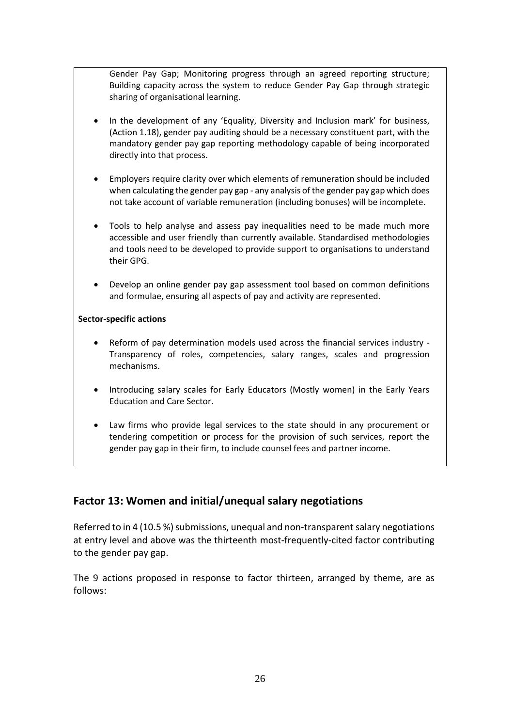Gender Pay Gap; Monitoring progress through an agreed reporting structure; Building capacity across the system to reduce Gender Pay Gap through strategic sharing of organisational learning.

- In the development of any 'Equality, Diversity and Inclusion mark' for business, (Action 1.18), gender pay auditing should be a necessary constituent part, with the mandatory gender pay gap reporting methodology capable of being incorporated directly into that process.
- Employers require clarity over which elements of remuneration should be included when calculating the gender pay gap - any analysis of the gender pay gap which does not take account of variable remuneration (including bonuses) will be incomplete.
- Tools to help analyse and assess pay inequalities need to be made much more accessible and user friendly than currently available. Standardised methodologies and tools need to be developed to provide support to organisations to understand their GPG.
- Develop an online gender pay gap assessment tool based on common definitions and formulae, ensuring all aspects of pay and activity are represented.

#### **Sector-specific actions**

- Reform of pay determination models used across the financial services industry Transparency of roles, competencies, salary ranges, scales and progression mechanisms.
- Introducing salary scales for Early Educators (Mostly women) in the Early Years Education and Care Sector.
- Law firms who provide legal services to the state should in any procurement or tendering competition or process for the provision of such services, report the gender pay gap in their firm, to include counsel fees and partner income.

## **Factor 13: Women and initial/unequal salary negotiations**

Referred to in 4 (10.5 %) submissions, unequal and non-transparent salary negotiations at entry level and above was the thirteenth most-frequently-cited factor contributing to the gender pay gap.

The 9 actions proposed in response to factor thirteen, arranged by theme, are as follows: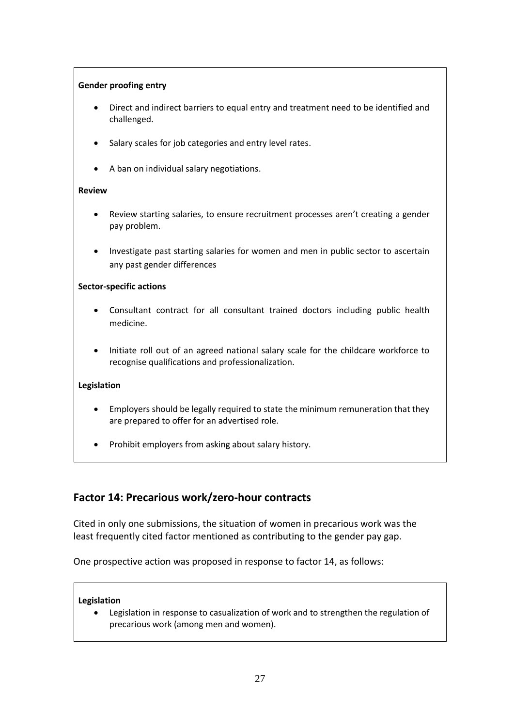#### **Gender proofing entry**

- Direct and indirect barriers to equal entry and treatment need to be identified and challenged.
- Salary scales for job categories and entry level rates.
- A ban on individual salary negotiations.

#### **Review**

- Review starting salaries, to ensure recruitment processes aren't creating a gender pay problem.
- Investigate past starting salaries for women and men in public sector to ascertain any past gender differences

#### **Sector-specific actions**

- Consultant contract for all consultant trained doctors including public health medicine.
- Initiate roll out of an agreed national salary scale for the childcare workforce to recognise qualifications and professionalization.

#### **Legislation**

- Employers should be legally required to state the minimum remuneration that they are prepared to offer for an advertised role.
- Prohibit employers from asking about salary history.

## **Factor 14: Precarious work/zero-hour contracts**

Cited in only one submissions, the situation of women in precarious work was the least frequently cited factor mentioned as contributing to the gender pay gap.

One prospective action was proposed in response to factor 14, as follows:

#### **Legislation**

 Legislation in response to casualization of work and to strengthen the regulation of precarious work (among men and women).